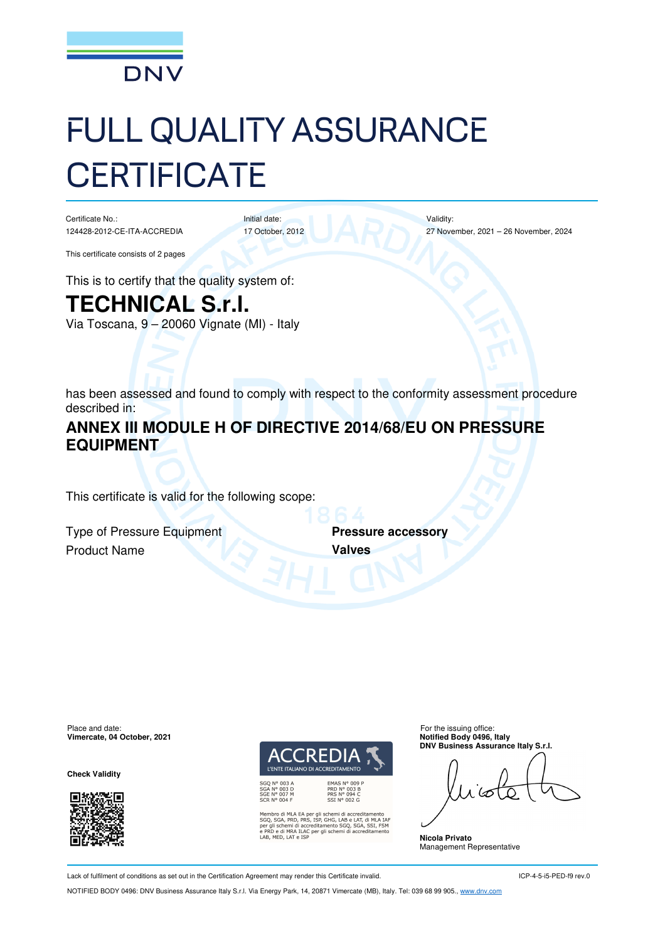

# FULL QUALITY ASSURANCE **CERTIFICATE**

Initial date:

Certificate No.: 124428-2012-CE-ITA-ACCREDIA

17 October, 2012

Validity: 27 November, 2021 – 26 November, 2024

This certificate consists of 2 pages

This is to certify that the quality system of:

# **TECHNICAL S.r.l.**

Via Toscana, 9 – 20060 Vignate (MI) - Italy

has been assessed and found to comply with respect to the conformity assessment procedure described in:

# **ANNEX III MODULE H OF DIRECTIVE 2014/68/EU ON PRESSURE EQUIPMENT**

This certificate is valid for the following scope:

**Type of Pressure Equipment Pressure accessory** Product Name **Valves** 

Place and date:<br> **Place and date:** For the issuing office:<br> **Place and date:** For the issuing office:<br> **Place and date:** For the issuing office: **Vimercate, 04 October, 2021** 

**Check Validity** 





ibro di MLA EA per gli schemi di accreditamento<br>, SGA, PRD, PRS, ISP, GHG, LAB e LAT, di MLA IAF<br>gli schemi di accreditamento SGQ, SGA, SSI, FSM<br>D e di MRA ILAC per gli schemi di accreditamento<br>MED, LAT e ISP

**DNV Business Assurance Italy S.r.l.** 

**Nicola Privato**  Management Representative

Lack of fulfilment of conditions as set out in the Certification Agreement may render this Certificate invalid.

ICP-4-5-i5-PED-f9 rev.0

NOTIFIED BODY 0496: DNV Business Assurance Italy S.r.l. Via Energy Park, 14, 20871 Vimercate (MB), Italy. Tel: 039 68 99 905., www.dnv.com